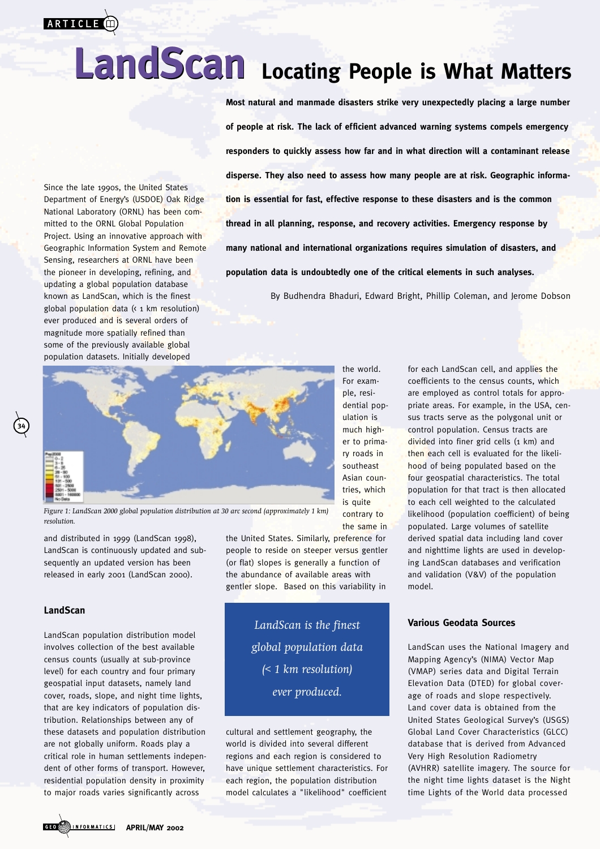

# **LandScan Locating People is What Matters LandScan**

Since the late 1990s, the United States Department of Energy's (USDOE) Oak Ridge National Laboratory (ORNL) has been committed to the ORNL Global Population Project. Using an innovative approach with Geographic Information System and Remote Sensing, researchers at ORNL have been the pioneer in developing, refining, and updating a global population database known as LandScan, which is the finest global population data (< 1 km resolution) ever produced and is several orders of magnitude more spatially refined than some of the previously available global population datasets. Initially developed

**Most natural and manmade disasters strike very unexpectedly placing a large number of people at risk. The lack of efficient advanced warning systems compels emergency responders to quickly assess how far and in what direction will a contaminant release disperse. They also need to assess how many people are at risk. Geographic information is essential for fast, effective response to these disasters and is the common thread in all planning, response, and recovery activities. Emergency response by many national and international organizations requires simulation of disasters, and population data is undoubtedly one of the critical elements in such analyses.**

By Budhendra Bhaduri, Edward Bright, Phillip Coleman, and Jerome Dobson



*Figure 1: LandScan 2000 global population distribution at 30 arc second (approximately 1 km) resolution.*

and distributed in 1999 (LandScan 1998), LandScan is continuously updated and subsequently an updated version has been released in early 2001 (LandScan 2000).

#### **LandScan**

**34**

LandScan population distribution model involves collection of the best available census counts (usually at sub-province level) for each country and four primary geospatial input datasets, namely land cover, roads, slope, and night time lights, that are key indicators of population distribution. Relationships between any of these datasets and population distribution are not globally uniform. Roads play a critical role in human settlements independent of other forms of transport. However, residential population density in proximity to major roads varies significantly across

the United States. Similarly, preference for people to reside on steeper versus gentler (or flat) slopes is generally a function of the abundance of available areas with gentler slope. Based on this variability in

contrary to the same in

*LandScan is the finest global population data (< 1 km resolution) ever produced.*

cultural and settlement geography, the world is divided into several different regions and each region is considered to have unique settlement characteristics. For each region, the population distribution model calculates a "likelihood" coefficient

for each LandScan cell, and applies the coefficients to the census counts, which are employed as control totals for appropriate areas. For example, in the USA, census tracts serve as the polygonal unit or control population. Census tracts are divided into finer grid cells (1 km) and then each cell is evaluated for the likelihood of being populated based on the four geospatial characteristics. The total population for that tract is then allocated to each cell weighted to the calculated likelihood (population coefficient) of being populated. Large volumes of satellite derived spatial data including land cover and nighttime lights are used in developing LandScan databases and verification and validation (V&V) of the population model.

## **Various Geodata Sources**

LandScan uses the National Imagery and Mapping Agency's (NIMA) Vector Map (VMAP) series data and Digital Terrain Elevation Data (DTED) for global coverage of roads and slope respectively. Land cover data is obtained from the United States Geological Survey's (USGS) Global Land Cover Characteristics (GLCC) database that is derived from Advanced Very High Resolution Radiometry (AVHRR) satellite imagery. The source for the night time lights dataset is the Night time Lights of the World data processed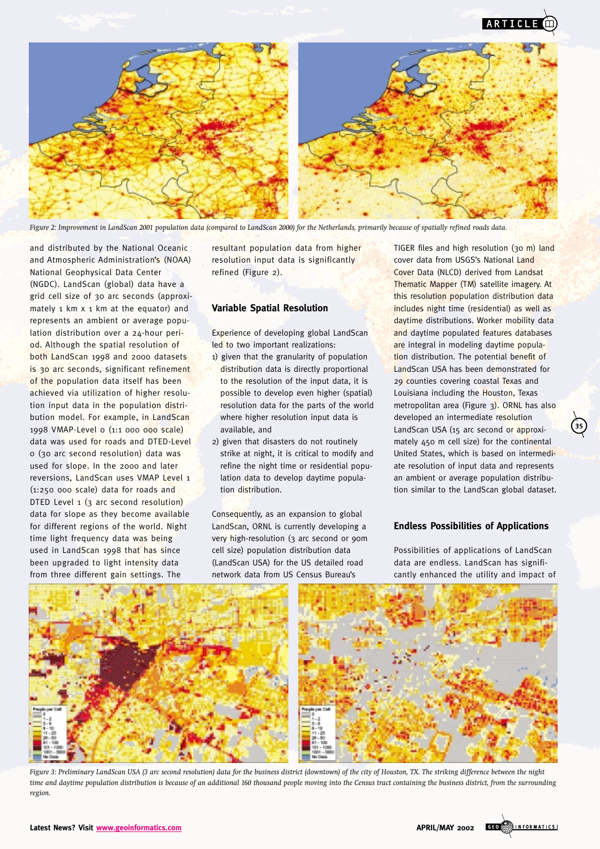

*Figure 2: Improvement in LandScan 2001 population data (compared to LandScan 2000) for the Netherlands, primarily because of spatially refined roads data.*

and distributed by the National Oceanic and Atmospheric Administration's (NOAA) National Geophysical Data Center (NGDC). LandScan (global) data have a grid cell size of 30 arc seconds (approximately 1 km x 1 km at the equator) and represents an ambient or average population distribution over a 24-hour period. Although the spatial resolution of both LandScan 1998 and 2000 datasets is 30 arc seconds, significant refinement of the population data itself has been achieved via utilization of higher resolution input data in the population distribution model. For example, in LandScan 1998 VMAP-Level o (1:1 000 000 scale) data was used for roads and DTED-Level 0 (30 arc second resolution) data was used for slope. In the 2000 and later reversions, LandScan uses VMAP Level 1 (1:250 000 scale) data for roads and DTED Level 1 (3 arc second resolution) data for slope as they become available for different regions of the world. Night time light frequency data was being used in LandScan 1998 that has since been upgraded to light intensity data from three different gain settings. The

resultant population data from higher resolution input data is significantly refined (Figure 2).

#### **Variable Spatial Resolution**

Experience of developing global LandScan led to two important realizations:

- 1) given that the granularity of population distribution data is directly proportional to the resolution of the input data, it is possible to develop even higher (spatial) resolution data for the parts of the world where higher resolution input data is available, and
- 2) given that disasters do not routinely strike at night, it is critical to modify and refine the night time or residential population data to develop daytime population distribution.

Consequently, as an expansion to global LandScan, ORNL is currently developing a very high-resolution (3 arc second or 90m cell size) population distribution data (LandScan USA) for the US detailed road network data from US Census Bureau's

TIGER files and high resolution (30 m) land cover data from USGS's National Land Cover Data (NLCD) derived from Landsat Thematic Mapper (TM) satellite imagery. At this resolution population distribution data includes night time (residential) as well as daytime distributions. Worker mobility data and daytime populated features databases are integral in modeling daytime population distribution. The potential benefit of LandScan USA has been demonstrated for 29 counties covering coastal Texas and Louisiana including the Houston, Texas metropolitan area (Figure 3). ORNL has also developed an intermediate resolution LandScan USA (15 arc second or approximately 450 m cell size) for the continental United States, which is based on intermediate resolution of input data and represents an ambient or average population distribution similar to the LandScan global dataset.

**35**

## **Endless Possibilities of Applications**

Possibilities of applications of LandScan data are endless. LandScan has significantly enhanced the utility and impact of



*Figure 3: Preliminary LandScan USA (3 arc second resolution) data for the business district (downtown) of the city of Houston, TX. The striking difference between the night time and daytime population distribution is because of an additional 160 thousand people moving into the Census tract containing the business district, from the surrounding region.*